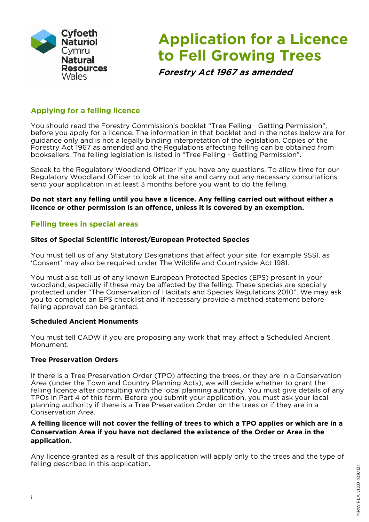

# **Application for a Licence to Fell Growing Trees**

**Forestry Act 1967 as amended** 

## **Applying for a felling licence**

You should read the Forestry Commission's booklet "Tree Felling - Getting Permission", before you apply for a licence. The information in that booklet and in the notes below are for guidance only and is not a legally binding interpretation of the legislation. Copies of the Forestry Act 1967 as amended and the Regulations affecting felling can be obtained from booksellers. The felling legislation is listed in "Tree Felling - Getting Permission".

Speak to the Regulatory Woodland Officer if you have any questions. To allow time for our Regulatory Woodland Officer to look at the site and carry out any necessary consultations, send your application in at least 3 months before you want to do the felling.

**Do not start any felling until you have a licence. Any felling carried out without either a licence or other permission is an offence, unless it is covered by an exemption.** 

## **Felling trees in special areas**

### **Sites of Special Scientific Interest/European Protected Species**

You must tell us of any Statutory Designations that affect your site, for example SSSI, as 'Consent' may also be required under The Wildlife and Countryside Act 1981.

You must also tell us of any known European Protected Species (EPS) present in your woodland, especially if these may be affected by the felling. These species are specially protected under "The Conservation of Habitats and Species Regulations 2010". We may ask you to complete an EPS checklist and if necessary provide a method statement before felling approval can be granted.

### **Scheduled Ancient Monuments**

You must tell CADW if you are proposing any work that may affect a Scheduled Ancient Monument.

### **Tree Preservation Orders**

If there is a Tree Preservation Order (TPO) affecting the trees, or they are in a Conservation Area (under the Town and Country Planning Acts), we will decide whether to grant the felling licence after consulting with the local planning authority. You must give details of any TPOs in Part 4 of this form. Before you submit your application, you must ask your local planning authority if there is a Tree Preservation Order on the trees or if they are in a Conservation Area.

#### **A felling licence will not cover the felling of trees to which a TPO applies or which are in a Conservation Area if you have not declared the existence of the Order or Area in the application.**

Any licence granted as a result of this application will apply only to the trees and the type of felling described in this application.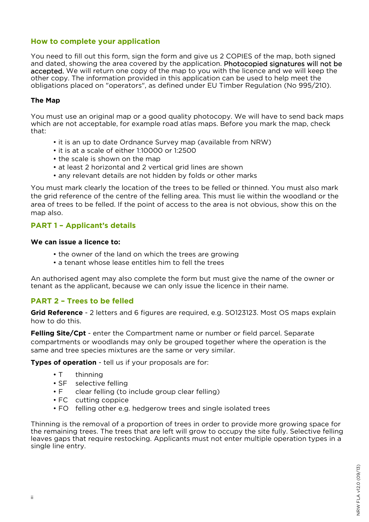### **How to complete your application**

You need to fill out this form, sign the form and give us 2 COPIES of the map, both signed and dated, showing the area covered by the application. Photocopied signatures will not be accepted. We will return one copy of the map to you with the licence and we will keep the other copy. The information provided in this application can be used to help meet the obligations placed on "operators", as defined under EU Timber Regulation (No 995/210).

#### **The Map**

You must use an original map or a good quality photocopy. We will have to send back maps which are not acceptable, for example road atlas maps. Before you mark the map, check that:

- it is an up to date Ordnance Survey map (available from NRW)
- it is at a scale of either 1:10000 or 1:2500
- the scale is shown on the map
- at least 2 horizontal and 2 vertical grid lines are shown
- any relevant details are not hidden by folds or other marks

You must mark clearly the location of the trees to be felled or thinned. You must also mark the grid reference of the centre of the felling area. This must lie within the woodland or the area of trees to be felled. If the point of access to the area is not obvious, show this on the map also.

## **PART 1 – Applicant's details**

#### **We can issue a licence to:**

- the owner of the land on which the trees are growing
- a tenant whose lease entitles him to fell the trees

An authorised agent may also complete the form but must give the name of the owner or tenant as the applicant, because we can only issue the licence in their name.

## **PART 2 – Trees to be felled**

**Grid Reference** - 2 letters and 6 figures are required, e.g. SO123123. Most OS maps explain how to do this.

**Felling Site/Cpt** - enter the Compartment name or number or field parcel. Separate compartments or woodlands may only be grouped together where the operation is the same and tree species mixtures are the same or very similar.

**Types of operation** - tell us if your proposals are for:

- T thinning
- SF selective felling
- F clear felling (to include group clear felling)
- FC cutting coppice
- FO felling other e.g. hedgerow trees and single isolated trees

Thinning is the removal of a proportion of trees in order to provide more growing space for the remaining trees. The trees that are left will grow to occupy the site fully. Selective felling leaves gaps that require restocking. Applicants must not enter multiple operation types in a single line entry.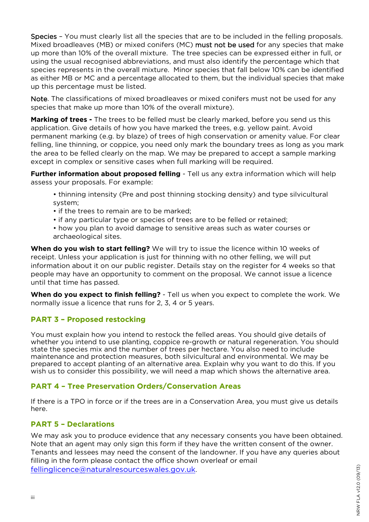Species – You must clearly list all the species that are to be included in the felling proposals. Mixed broadleaves (MB) or mixed conifers (MC) must not be used for any species that make up more than 10% of the overall mixture. The tree species can be expressed either in full, or using the usual recognised abbreviations, and must also identify the percentage which that species represents in the overall mixture. Minor species that fall below 10% can be identified as either MB or MC and a percentage allocated to them, but the individual species that make up this percentage must be listed.

Note. The classifications of mixed broadleaves or mixed conifers must not be used for any species that make up more than 10% of the overall mixture).

**Marking of trees -** The trees to be felled must be clearly marked, before you send us this application. Give details of how you have marked the trees, e.g. yellow paint. Avoid permanent marking (e.g. by blaze) of trees of high conservation or amenity value. For clear felling, line thinning, or coppice, you need only mark the boundary trees as long as you mark the area to be felled clearly on the map. We may be prepared to accept a sample marking except in complex or sensitive cases when full marking will be required.

**Further information about proposed felling** - Tell us any extra information which will help assess your proposals. For example:

- thinning intensity (Pre and post thinning stocking density) and type silvicultural system;
- if the trees to remain are to be marked;
- if any particular type or species of trees are to be felled or retained;
- how you plan to avoid damage to sensitive areas such as water courses or archaeological sites.

**When do you wish to start felling?** We will try to issue the licence within 10 weeks of receipt. Unless your application is just for thinning with no other felling, we will put information about it on our public register. Details stay on the register for 4 weeks so that people may have an opportunity to comment on the proposal. We cannot issue a licence until that time has passed.

**When do you expect to finish felling?** - Tell us when you expect to complete the work. We normally issue a licence that runs for 2, 3, 4 or 5 years.

## **PART 3 – Proposed restocking**

You must explain how you intend to restock the felled areas. You should give details of whether you intend to use planting, coppice re-growth or natural regeneration. You should state the species mix and the number of trees per hectare. You also need to include maintenance and protection measures, both silvicultural and environmental. We may be prepared to accept planting of an alternative area. Explain why you want to do this. If you wish us to consider this possibility, we will need a map which shows the alternative area.

### **PART 4 – Tree Preservation Orders/Conservation Areas**

If there is a TPO in force or if the trees are in a Conservation Area, you must give us details here.

### **PART 5 – Declarations**

We may ask you to produce evidence that any necessary consents you have been obtained. Note that an agent may only sign this form if they have the written consent of the owner. Tenants and lessees may need the consent of the landowner. If you have any queries about filling in the form please contact the office shown overleaf or email fellinglicence@naturalresourceswales.gov.uk.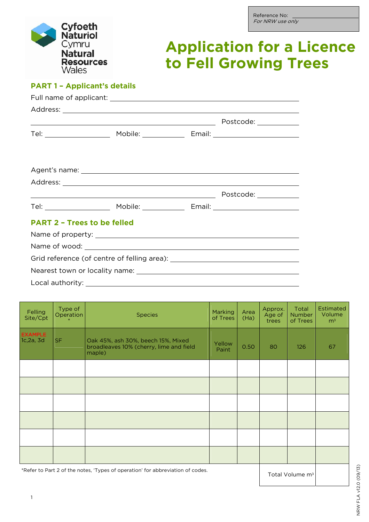# **Application for a Licence to Fell Growing Trees**

## **PART 1 – Applicant's details**

| <b>PART 2 - Trees to be felled</b> |  |  |
|------------------------------------|--|--|
|                                    |  |  |
|                                    |  |  |
|                                    |  |  |
|                                    |  |  |
|                                    |  |  |

| Felling<br>Site/Cpt         | Type of<br>Operation | <b>Species</b>                                                                          | <b>Marking</b><br>of Trees | Area<br>(Ha) | Approx.<br>Age of<br>trees | Total<br><b>Number</b><br>of Trees | <b>Estimated</b><br>Volume<br>m <sup>3</sup> |
|-----------------------------|----------------------|-----------------------------------------------------------------------------------------|----------------------------|--------------|----------------------------|------------------------------------|----------------------------------------------|
| <b>EXAMPLE</b><br>1c,2a, 3d | SF.                  | Oak 45%, ash 30%, beech 15%, Mixed<br>broadleaves 10% (cherry, lime and field<br>maple) | Yellow<br>Paint            | 0.50         | 80                         | 126                                | 67                                           |
|                             |                      |                                                                                         |                            |              |                            |                                    |                                              |
|                             |                      |                                                                                         |                            |              |                            |                                    |                                              |
|                             |                      |                                                                                         |                            |              |                            |                                    |                                              |
|                             |                      |                                                                                         |                            |              |                            |                                    |                                              |
|                             |                      |                                                                                         |                            |              |                            |                                    |                                              |
|                             |                      |                                                                                         |                            |              |                            |                                    |                                              |
|                             |                      |                                                                                         |                            |              |                            |                                    |                                              |

\*Refer to Part 2 of the notes, 'Types of operation' for abbreviation of codes.<br>Total Volume m<sup>3</sup>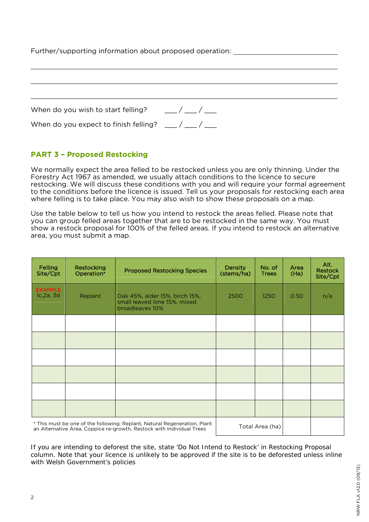| Further/supporting information about proposed operation: |  |  |  |  |
|----------------------------------------------------------|--|--|--|--|
|----------------------------------------------------------|--|--|--|--|

| When do you wish to start felling?                  | $\frac{1}{2}$ |
|-----------------------------------------------------|---------------|
| When do you expect to finish felling? $\mu$ / $\mu$ |               |

## **PART 3 – Proposed Restocking**

We normally expect the area felled to be restocked unless you are only thinning. Under the Forestry Act 1967 as amended, we usually attach conditions to the licence to secure restocking. We will discuss these conditions with you and will require your formal agreement to the conditions before the licence is issued. Tell us your proposals for restocking each area where felling is to take place. You may also wish to show these proposals on a map.

Use the table below to tell us how you intend to restock the areas felled. Please note that you can group felled areas together that are to be restocked in the same way. You must show a restock proposal for 100% of the felled areas. If you intend to restock an alternative area, you must submit a map.

| Felling<br>Site/Cpt                                                                                                                                | <b>Restocking</b><br>Operation* | <b>Proposed Restocking Species</b>                                                | <b>Density</b><br>(stems/ha) | No. of<br><b>Trees</b> | Area<br>(Ha) | Alt.<br><b>Restock</b><br>Site/Cpt |
|----------------------------------------------------------------------------------------------------------------------------------------------------|---------------------------------|-----------------------------------------------------------------------------------|------------------------------|------------------------|--------------|------------------------------------|
| <b>EXAMPLE</b><br>1c, 2a, 3d                                                                                                                       | Replant                         | Oak 45%, alder 15%, birch 15%,<br>small leaved lime 15%, mixed<br>broadleaves 10% | 2500                         | 1250                   | 0.50         | n/a                                |
|                                                                                                                                                    |                                 |                                                                                   |                              |                        |              |                                    |
|                                                                                                                                                    |                                 |                                                                                   |                              |                        |              |                                    |
|                                                                                                                                                    |                                 |                                                                                   |                              |                        |              |                                    |
|                                                                                                                                                    |                                 |                                                                                   |                              |                        |              |                                    |
|                                                                                                                                                    |                                 |                                                                                   |                              |                        |              |                                    |
|                                                                                                                                                    |                                 |                                                                                   |                              |                        |              |                                    |
| * This must be one of the following: Replant, Natural Regeneration, Plant<br>an Alternative Area, Coppice re-growth, Restock with Individual Trees |                                 | Total Area (ha)                                                                   |                              |                        |              |                                    |

If you are intending to deforest the site, state 'Do Not Intend to Restock' in Restocking Proposal column. Note that your licence is unlikely to be approved if the site is to be deforested unless inline with Welsh Government's policies